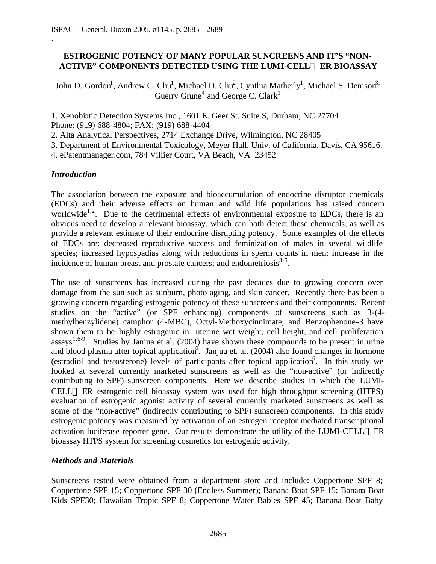## **ESTROGENIC POTENCY OF MANY POPULAR SUNCREENS AND IT'S "NON-ACTIVE" COMPONENTS DETECTED USING THE LUMI-CELLä ER BIOASSAY**

John D. Gordon<sup>1</sup>, Andrew C. Chu<sup>1</sup>, Michael D. Chu<sup>2</sup>, Cynthia Matherly<sup>1</sup>, Michael S. Denison<sup>3,</sup> Guerry Grune<sup>4</sup> and George C. Clark<sup>1</sup>

1. Xenobiotic Detection Systems Inc., 1601 E. Geer St. Suite S, Durham, NC 27704 Phone: (919) 688-4804; FAX: (919) 688-4404

2. Alta Analytical Perspectives, 2714 Exchange Drive, Wilmington, NC 28405

3. Department of Environmental Toxicology, Meyer Hall, Univ. of California, Davis, CA 95616.

4. ePatentmanager.com, 784 Villier Court, VA Beach, VA 23452

#### *Introduction*

.

The association between the exposure and bioaccumulation of endocrine disruptor chemicals (EDCs) and their adverse effects on human and wild life populations has raised concern worldwide<sup>1,2</sup>. Due to the detrimental effects of environmental exposure to EDCs, there is an obvious need to develop a relevant bioassay, which can both detect these chemicals, as well as provide a relevant estimate of their endocrine disrupting potency. Some examples of the effects of EDCs are: decreased reproductive success and feminization of males in several wildlife species; increased hypospadias along with reductions in sperm counts in men; increase in the incidence of human breast and prostate cancers; and endometriosis $3-5$ .

The use of sunscreens has increased during the past decades due to growing concern over damage from the sun such as sunburn, photo aging, and skin cancer. Recently there has been a growing concern regarding estrogenic potency of these sunscreens and their components. Recent studies on the "active" (or SPF enhancing) components of sunscreens such as 3-(4 methylbenzylidene) camphor (4-MBC), Octyl-Methoxycinnimate, and Benzophenone-3 have shown them to be highly estrogenic in uterine wet weight, cell height, and cell proliferation assays<sup>1,6-9</sup>. Studies by Janjua et al. (2004) have shown these compounds to be present in urine and blood plasma after topical application<sup>6</sup>. Janjua et. al. (2004) also found changes in hormone (estradiol and testosterone) levels of participants after topical application<sup>6</sup>. In this study we looked at several currently marketed sunscreens as well as the "non-active" (or indirectly contributing to SPF) sunscreen components. Here we describe studies in which the LUMI-CELL<sup>TM</sup> ER estrogenic cell bioassay system was used for high throughput screening (HTPS) evaluation of estrogenic agonist activity of several currently marketed sunscreens as well as some of the "non-active" (indirectly contributing to SPF) sunscreen components. In this study estrogenic potency was measured by activation of an estrogen receptor mediated transcriptional activation luciferase reporter gene. Our results demonstrate the utility of the LUMI-CELL<sup>TM</sup> ER bioassay HTPS system for screening cosmetics for estrogenic activity.

#### *Methods and Materials*

Sunscreens tested were obtained from a department store and include: Coppertone SPF 8; Coppertone SPF 15; Coppertone SPF 30 (Endless Summer); Banana Boat SPF 15; Banana Boat Kids SPF30; Hawaiian Tropic SPF 8; Coppertone Water Babies SPF 45; Banana Boat Baby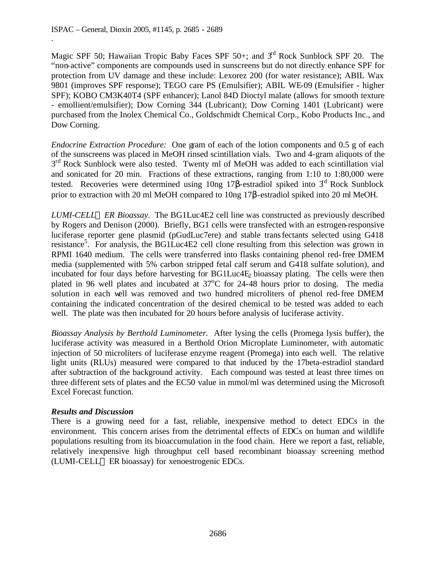.

Magic SPF 50; Hawaiian Tropic Baby Faces SPF 50+; and  $3<sup>rd</sup>$  Rock Sunblock SPF 20. The "non-active" components are compounds used in sunscreens but do not directly enhance SPF for protection from UV damage and these include: Lexorez 200 (for water resistance); ABIL Wax 9801 (improves SPF response); TEGO care PS (Emulsifier); ABIL WE-09 (Emulsifier - higher SPF); KOBO CM3K40T4 (SPF enhancer); Lanol 84D Dioctyl malate (allows for smooth texture - emollient/emulsifier); Dow Corning 344 (Lubricant); Dow Corning 1401 (Lubricant) were purchased from the Inolex Chemical Co., Goldschmidt Chemical Corp., Kobo Products Inc., and Dow Corning.

*Endocrine Extraction Procedure:* One gram of each of the lotion components and 0.5 g of each of the sunscreens was placed in MeOH rinsed scintillation vials. Two and 4-gram aliquots of the 3<sup>rd</sup> Rock Sunblock were also tested. Twenty ml of MeOH was added to each scintillation vial and sonicated for 20 min. Fractions of these extractions, ranging from 1:10 to 1:80,000 were tested. Recoveries were determined using  $10ng\ 17\beta$ -estradiol spiked into  $3<sup>d</sup>$  Rock Sunblock prior to extraction with 20 ml MeOH compared to 10ng 17β-estradiol spiked into 20 ml MeOH.

*LUMI-CELLä ER Bioassay.* The BG1Luc4E2 cell line was constructed as previously described by Rogers and Denison (2000). Briefly, BG1 cells were transfected with an estrogen-responsive luciferase reporter gene plasmid (pGudLuc7ere) and stable transfectants selected using G418 resistance<sup>5</sup>. For analysis, the BG1Luc4E2 cell clone resulting from this selection was grown in RPMI 1640 medium. The cells were transferred into flasks containing phenol red-free DMEM media (supplemented with 5% carbon stripped fetal calf serum and G418 sulfate solution), and incubated for four days before harvesting for  $BGLuc4E<sub>2</sub>$  bioassay plating. The cells were then plated in 96 well plates and incubated at  $37^{\circ}$ C for 24-48 hours prior to dosing. The media solution in each well was removed and two hundred microliters of phenol red-free DMEM containing the indicated concentration of the desired chemical to be tested was added to each well. The plate was then incubated for 20 hours before analysis of luciferase activity.

*Bioassay Analysis by Berthold Luminometer.* After lysing the cells (Promega lysis buffer), the luciferase activity was measured in a Berthold Orion Microplate Luminometer, with automatic injection of 50 microliters of luciferase enzyme reagent (Promega) into each well. The relative light units (RLUs) measured were compared to that induced by the 17beta-estradiol standard after subtraction of the background activity. Each compound was tested at least three times on three different sets of plates and the EC50 value in mmol/ml was determined using the Microsoft Excel Forecast function.

## *Results and Discussion*

There is a growing need for a fast, reliable, inexpensive method to detect EDCs in the environment. This concern arises from the detrimental effects of EDCs on human and wildlife populations resulting from its bioaccumulation in the food chain. Here we report a fast, reliable, relatively inexpensive high throughput cell based recombinant bioassay screening method  $(LUMI-CELL^{TM}ER \text{ bioassay})$  for xenoestrogenic EDCs.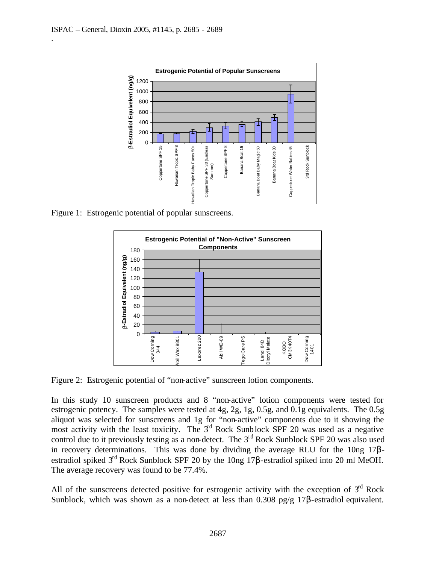.



Figure 1: Estrogenic potential of popular sunscreens.



Figure 2: Estrogenic potential of "non-active" sunscreen lotion components.

In this study 10 sunscreen products and 8 "non-active" lotion components were tested for estrogenic potency. The samples were tested at 4g, 2g, 1g, 0.5g, and 0.1g equivalents. The 0.5g aliquot was selected for sunscreens and 1g for "non-active" components due to it showing the most activity with the least toxicity. The  $3<sup>rd</sup>$  Rock Sunblock SPF 20 was used as a negative control due to it previously testing as a non-detect. The  $3<sup>rd</sup>$  Rock Sunblock SPF 20 was also used in recovery determinations. This was done by dividing the average RLU for the 10ng 17βestradiol spiked 3rd Rock Sunblock SPF 20 by the 10ng 17β-estradiol spiked into 20 ml MeOH. The average recovery was found to be 77.4%.

All of the sunscreens detected positive for estrogenic activity with the exception of  $3<sup>rd</sup>$  Rock Sunblock, which was shown as a non-detect at less than 0.308 pg/g 17β-estradiol equivalent.